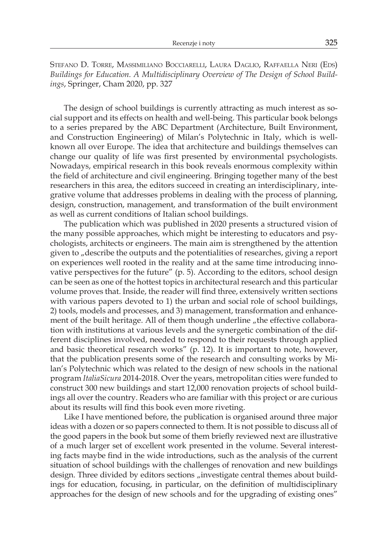Stefano D. Torre, Massimiliano Bocciarelli, Laura Daglio, Raffaella Neri (Eds) *Buildings for Education. A Multidisciplinary Overview of The Design of School Buildings*, Springer, Cham 2020, pp. 327

The design of school buildings is currently attracting as much interest as social support and its effects on health and well-being. This particular book belongs to a series prepared by the ABC Department (Architecture, Built Environment, and Construction Engineering) of Milan's Polytechnic in Italy, which is wellknown all over Europe. The idea that architecture and buildings themselves can change our quality of life was first presented by environmental psychologists. Nowadays, empirical research in this book reveals enormous complexity within the field of architecture and civil engineering. Bringing together many of the best researchers in this area, the editors succeed in creating an interdisciplinary, integrative volume that addresses problems in dealing with the process of planning, design, construction, management, and transformation of the built environment as well as current conditions of Italian school buildings.

The publication which was published in 2020 presents a structured vision of the many possible approaches, which might be interesting to educators and psychologists, architects or engineers. The main aim is strengthened by the attention given to "describe the outputs and the potentialities of researches, giving a report on experiences well rooted in the reality and at the same time introducing innovative perspectives for the future" (p. 5). According to the editors, school design can be seen as one of the hottest topics in architectural research and this particular volume proves that. Inside, the reader will find three, extensively written sections with various papers devoted to 1) the urban and social role of school buildings, 2) tools, models and processes, and 3) management, transformation and enhancement of the built heritage. All of them though underline "the effective collaboration with institutions at various levels and the synergetic combination of the different disciplines involved, needed to respond to their requests through applied and basic theoretical research works" (p. 12). It is important to note, however, that the publication presents some of the research and consulting works by Milan's Polytechnic which was related to the design of new schools in the national program *ItaliaSicura* 2014-2018. Over the years, metropolitan cities were funded to construct 300 new buildings and start 12,000 renovation projects of school buildings all over the country. Readers who are familiar with this project or are curious about its results will find this book even more riveting.

Like I have mentioned before, the publication is organised around three major ideas with a dozen or so papers connected to them. It is not possible to discuss all of the good papers in the book but some of them briefly reviewed next are illustrative of a much larger set of excellent work presented in the volume. Several interesting facts maybe find in the wide introductions, such as the analysis of the current situation of school buildings with the challenges of renovation and new buildings design. Three divided by editors sections "investigate central themes about buildings for education, focusing, in particular, on the definition of multidisciplinary approaches for the design of new schools and for the upgrading of existing ones"